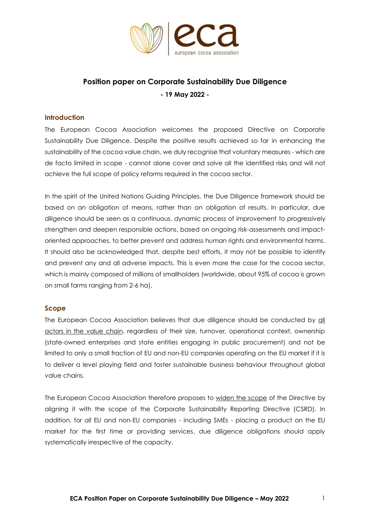

# **Position paper on Corporate Sustainability Due Diligence - 19 May 2022 -**

#### **Introduction**

The European Cocoa Association welcomes the proposed Directive on Corporate Sustainability Due Diligence. Despite the positive results achieved so far in enhancing the sustainability of the cocoa value chain, we duly recognise that voluntary measures - which are de facto limited in scope - cannot alone cover and solve all the identified risks and will not achieve the full scope of policy reforms required in the cocoa sector.

In the spirit of the United Nations Guiding Principles, the Due Diligence framework should be based on an obligation of means, rather than an obligation of results. In particular, due diligence should be seen as a continuous, dynamic process of improvement to progressively strengthen and deepen responsible actions, based on ongoing risk-assessments and impactoriented approaches, to better prevent and address human rights and environmental harms. It should also be acknowledged that, despite best efforts, it may not be possible to identify and prevent any and all adverse impacts. This is even more the case for the cocoa sector, which is mainly composed of millions of smallholders (worldwide, about 95% of cocoa is grown on small farms ranging from 2-6 ha).

#### **Scope**

The European Cocoa Association believes that due diligence should be conducted by all actors in the value chain, regardless of their size, turnover, operational context, ownership (state-owned enterprises and state entities engaging in public procurement) and not be limited to only a small fraction of EU and non-EU companies operating on the EU market if it is to deliver a level playing field and foster sustainable business behaviour throughout global value chains.

The European Cocoa Association therefore proposes to widen the scope of the Directive by aligning it with the scope of the Corporate Sustainability Reporting Directive (CSRD). In addition, for *all* EU and non-EU companies - including SMEs - placing a product on the EU market for the first time or providing services, due diligence obligations should apply systematically irrespective of the capacity.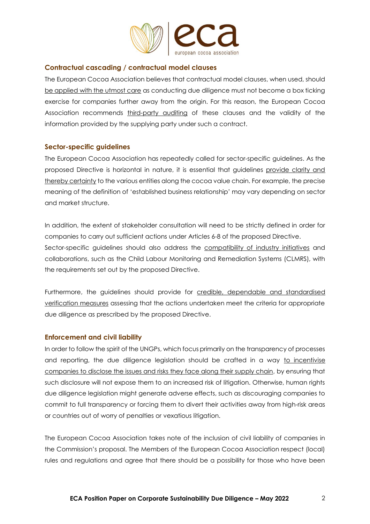

### **Contractual cascading / contractual model clauses**

The European Cocoa Association believes that contractual model clauses, when used, should be applied with the utmost care as conducting due diligence must not become a box ticking exercise for companies further away from the origin. For this reason, the European Cocoa Association recommends third-party auditing of these clauses and the validity of the information provided by the supplying party under such a contract.

#### **Sector-specific guidelines**

The European Cocoa Association has repeatedly called for sector-specific guidelines. As the proposed Directive is horizontal in nature, it is essential that guidelines provide clarity and thereby certainty to the various entities along the cocoa value chain. For example, the precise meaning of the definition of 'established business relationship' may vary depending on sector and market structure.

In addition, the extent of stakeholder consultation will need to be strictly defined in order for companies to carry out sufficient actions under Articles 6-8 of the proposed Directive. Sector-specific guidelines should also address the compatibility of industry initiatives and collaborations, such as the Child Labour Monitoring and Remediation Systems (CLMRS), with the requirements set out by the proposed Directive.

Furthermore, the guidelines should provide for credible, dependable and standardised verification measures assessing that the actions undertaken meet the criteria for appropriate due diligence as prescribed by the proposed Directive.

#### **Enforcement and civil liability**

In order to follow the spirit of the UNGPs, which focus primarily on the transparency of processes and reporting, the due diligence legislation should be crafted in a way to incentivise companies to disclose the issues and risks they face along their supply chain, by ensuring that such disclosure will not expose them to an increased risk of litigation. Otherwise, human rights due diligence legislation might generate adverse effects, such as discouraging companies to commit to full transparency or forcing them to divert their activities away from high-risk areas or countries out of worry of penalties or vexatious litigation.

The European Cocoa Association takes note of the inclusion of civil liability of companies in the Commission's proposal. The Members of the European Cocoa Association respect (local) rules and regulations and agree that there should be a possibility for those who have been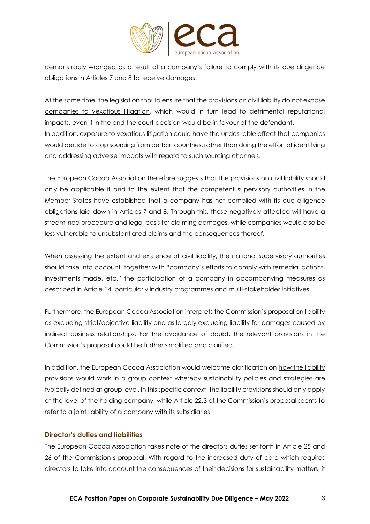

demonstrably wronged as a result of a company's failure to comply with its due diligence obligations in Articles 7 and 8 to receive damages.

At the same time, the legislation should ensure that the provisions on civil liability do not expose companies to vexatious litigation, which would in turn lead to detrimental reputational impacts, even if in the end the court decision would be in favour of the defendant. In addition, exposure to vexatious litigation could have the undesirable effect that companies would decide to stop sourcing from certain countries, rather than doing the effort of identifying and addressing adverse impacts with regard to such sourcing channels.

The European Cocoa Association therefore suggests that the provisions on civil liability should only be applicable if and to the extent that the competent supervisory authorities in the Member States have established that a company has not complied with its due diligence obligations laid down in Articles 7 and 8. Through this, those negatively affected will have a streamlined procedure and legal basis for claiming damages, while companies would also be less vulnerable to unsubstantiated claims and the consequences thereof.

When assessing the extent and existence of civil liability, the national supervisory authorities should take into account, together with "company's efforts to comply with remedial actions, investments made, etc." the participation of a company in accompanying measures as described in Article 14, particularly industry programmes and multi-stakeholder initiatives.

Furthermore, the European Cocoa Association interprets the Commission's proposal on liability as excluding strict/objective liability and as largely excluding liability for damages caused by indirect business relationships. For the avoidance of doubt, the relevant provisions in the Commission's proposal could be further simplified and clarified.

In addition, the European Cocoa Association would welcome clarification on how the liability provisions would work in a group context whereby sustainability policies and strategies are typically defined at group level. In this specific context, the liability provisions should only apply at the level of the holding company, while Article 22.3 of the Commission's proposal seems to refer to a joint liability of a company with its subsidiaries.

#### **Director's duties and liabilities**

The European Cocoa Association takes note of the directors duties set forth in Article 25 and 26 of the Commission's proposal. With regard to the increased duty of care which requires directors to take into account the consequences of their decisions for sustainability matters, it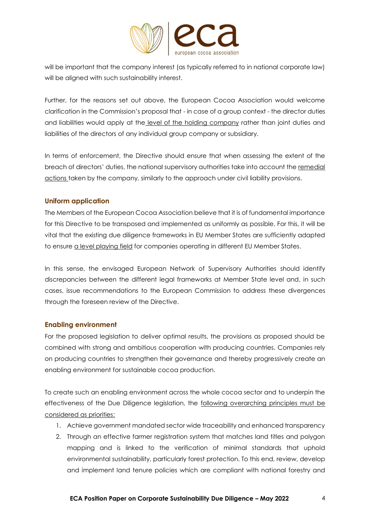

will be important that the company interest (as typically referred to in national corporate law) will be aligned with such sustainability interest.

Further, for the reasons set out above, the European Cocoa Association would welcome clarification in the Commission's proposal that - in case of a group context - the director duties and liabilities would apply at the level of the holding company rather than joint duties and liabilities of the directors of any individual group company or subsidiary.

In terms of enforcement, the Directive should ensure that when assessing the extent of the breach of directors' duties, the national supervisory authorities take into account the remedial actions taken by the company, similarly to the approach under civil liability provisions.

## **Uniform application**

The Members of the European Cocoa Association believe that it is of fundamental importance for this Directive to be transposed and implemented as uniformly as possible. For this, it will be vital that the existing due diligence frameworks in EU Member States are sufficiently adapted to ensure a level playing field for companies operating in different EU Member States.

In this sense, the envisaged European Network of Supervisory Authorities should identify discrepancies between the different legal frameworks at Member State level and, in such cases, issue recommendations to the European Commission to address these divergences through the foreseen review of the Directive.

#### **Enabling environment**

For the proposed legislation to deliver optimal results, the provisions as proposed should be combined with strong and ambitious cooperation with producing countries. Companies rely on producing countries to strengthen their governance and thereby progressively create an enabling environment for sustainable cocoa production.

To create such an enabling environment across the whole cocoa sector and to underpin the effectiveness of the Due Diligence legislation, the following overarching principles must be considered as priorities:

- 1. Achieve government mandated sector wide traceability and enhanced transparency
- 2. Through an effective farmer registration system that matches land titles and polygon mapping and is linked to the verification of minimal standards that uphold environmental sustainability, particularly forest protection. To this end, review, develop and implement land tenure policies which are compliant with national forestry and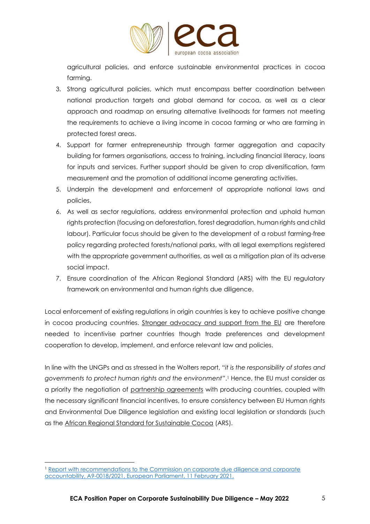

agricultural policies, and enforce sustainable environmental practices in cocoa farming.

- 3. Strong agricultural policies, which must encompass better coordination between national production targets and global demand for cocoa, as well as a clear approach and roadmap on ensuring alternative livelihoods for farmers not meeting the requirements to achieve a living income in cocoa farming or who are farming in protected forest areas.
- 4. Support for farmer entrepreneurship through farmer aggregation and capacity building for farmers organisations, access to training, including financial literacy, loans for inputs and services. Further support should be given to crop diversification, farm measurement and the promotion of additional income generating activities.
- 5. Underpin the development and enforcement of appropriate national laws and policies,
- 6. As well as sector regulations, address environmental protection and uphold human rights protection (focusing on deforestation, forest degradation, human rights and child labour). Particular focus should be given to the development of a robust farming-free policy regarding protected forests/national parks, with all legal exemptions registered with the appropriate government authorities, as well as a mitigation plan of its adverse social impact.
- 7. Ensure coordination of the African Regional Standard (ARS) with the EU regulatory framework on environmental and human rights due diligence.

Local enforcement of existing regulations in origin countries is key to achieve positive change in cocoa producing countries. Stronger advocacy and support from the EU are therefore needed to incentivise partner countries though trade preferences and development cooperation to develop, implement, and enforce relevant law and policies.

In line with the UNGPs and as stressed in the Wolters report, "*it is the responsibility of states and governments to protect human rights and the environment*".<sup>1</sup> Hence, the EU must consider as a priority the negotiation of partnership agreements with producing countries, coupled with the necessary significant financial incentives, to ensure consistency between EU Human rights and Environmental Due Diligence legislation and existing local legislation or standards (such as the African Regional Standard for Sustainable Cocoa (ARS).

<sup>1</sup> [Report with recommendations to the Commission on corporate due diligence and corporate](https://www.europarl.europa.eu/doceo/document/A-9-2021-0018_EN.pdf)  [accountability, A9-0018/2021, European Parliament, 11 February 2021.](https://www.europarl.europa.eu/doceo/document/A-9-2021-0018_EN.pdf)